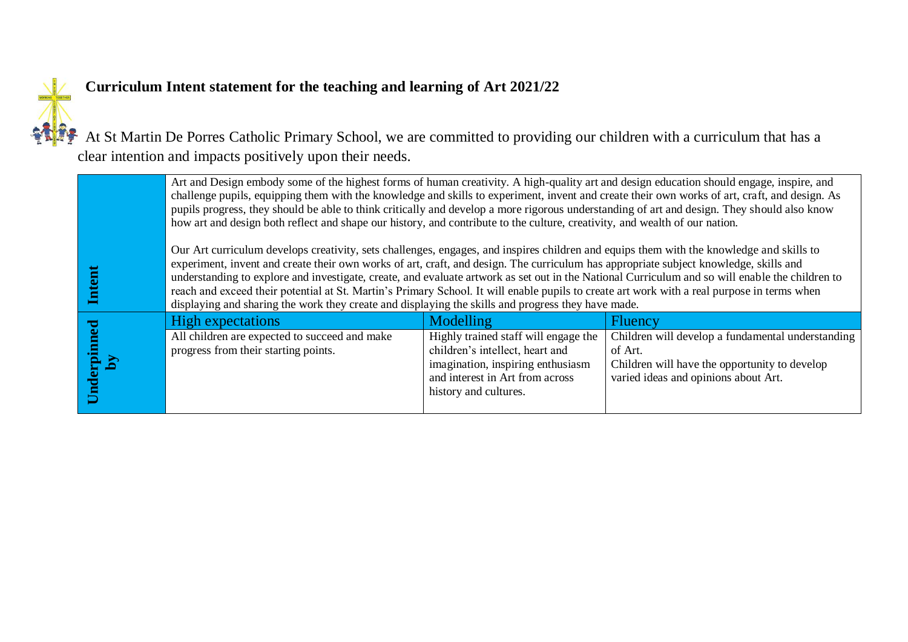

## **Curriculum Intent statement for the teaching and learning of Art 2021/22**

At St Martin De Porres Catholic Primary School, we are committed to providing our children with a curriculum that has a clear intention and impacts positively upon their needs.

|                            | Art and Design embody some of the highest forms of human creativity. A high-quality art and design education should engage, inspire, and<br>challenge pupils, equipping them with the knowledge and skills to experiment, invent and create their own works of art, craft, and design. As<br>pupils progress, they should be able to think critically and develop a more rigorous understanding of art and design. They should also know<br>how art and design both reflect and shape our history, and contribute to the culture, creativity, and wealth of our nation.                                                                                                                   |                                                                                                                                                                          |                                                                                                                                                       |
|----------------------------|-------------------------------------------------------------------------------------------------------------------------------------------------------------------------------------------------------------------------------------------------------------------------------------------------------------------------------------------------------------------------------------------------------------------------------------------------------------------------------------------------------------------------------------------------------------------------------------------------------------------------------------------------------------------------------------------|--------------------------------------------------------------------------------------------------------------------------------------------------------------------------|-------------------------------------------------------------------------------------------------------------------------------------------------------|
| $\mathbf{Intend}$          | Our Art curriculum develops creativity, sets challenges, engages, and inspires children and equips them with the knowledge and skills to<br>experiment, invent and create their own works of art, craft, and design. The curriculum has appropriate subject knowledge, skills and<br>understanding to explore and investigate, create, and evaluate artwork as set out in the National Curriculum and so will enable the children to<br>reach and exceed their potential at St. Martin's Primary School. It will enable pupils to create art work with a real purpose in terms when<br>displaying and sharing the work they create and displaying the skills and progress they have made. |                                                                                                                                                                          |                                                                                                                                                       |
| Underpinne<br>$\mathbf{p}$ | <b>High expectations</b>                                                                                                                                                                                                                                                                                                                                                                                                                                                                                                                                                                                                                                                                  | Modelling                                                                                                                                                                | <b>Fluency</b>                                                                                                                                        |
|                            | All children are expected to succeed and make<br>progress from their starting points.                                                                                                                                                                                                                                                                                                                                                                                                                                                                                                                                                                                                     | Highly trained staff will engage the<br>children's intellect, heart and<br>imagination, inspiring enthusiasm<br>and interest in Art from across<br>history and cultures. | Children will develop a fundamental understanding<br>of Art.<br>Children will have the opportunity to develop<br>varied ideas and opinions about Art. |